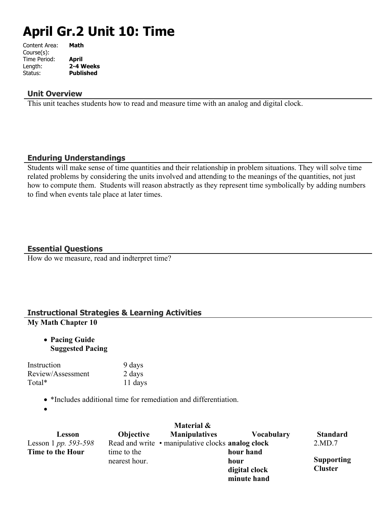# **April Gr.2 Unit 10: Time**

| Content Area: | Math             |
|---------------|------------------|
| Course(s):    |                  |
| Time Period:  | April            |
| Length:       | 2-4 Weeks        |
| Status:       | <b>Published</b> |
|               |                  |

#### **Unit Overview**

This unit teaches students how to read and measure time with an analog and digital clock.

### **Enduring Understandings**

Students will make sense of time quantities and their relationship in problem situations. They will solve time related problems by considering the units involved and attending to the meanings of the quantities, not just how to compute them. Students will reason abstractly as they represent time symbolically by adding numbers to find when events tale place at later times.

### **Essential Questions**

How do we measure, read and indterpret time?

## **Instructional Strategies & Learning Activities**

### **My Math Chapter 10**

 **Pacing Guide Suggested Pacing**

| Instruction       | 9 days  |
|-------------------|---------|
| Review/Assessment | 2 days  |
| Total*            | 11 days |

\*Includes additional time for remediation and differentiation.

 $\bullet$ 

|                      |                  | Material &                                        |                   |                   |
|----------------------|------------------|---------------------------------------------------|-------------------|-------------------|
| Lesson               | <b>Objective</b> | <b>Manipulatives</b>                              | <b>Vocabulary</b> | <b>Standard</b>   |
| Lesson 1 pp. 593-598 |                  | Read and write • manipulative clocks analog clock |                   | 2.MD.7            |
| Time to the Hour     | time to the      |                                                   | hour hand         |                   |
| nearest hour.        |                  |                                                   | hour              | <b>Supporting</b> |
|                      |                  | digital clock                                     | <b>Cluster</b>    |                   |
|                      |                  |                                                   | minute hand       |                   |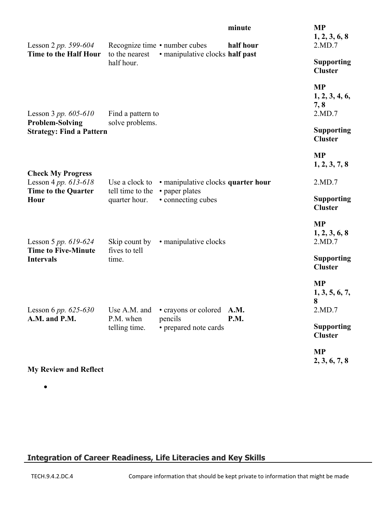| Lesson 2 pp. 599-604                                                         |                                   | Recognize time • number cubes        | minute<br>half hour | <b>MP</b><br>1, 2, 3, 6, 8<br>2.MD.7          |
|------------------------------------------------------------------------------|-----------------------------------|--------------------------------------|---------------------|-----------------------------------------------|
| Time to the Half Hour                                                        | to the nearest<br>half hour.      | • manipulative clocks half past      |                     | <b>Supporting</b><br><b>Cluster</b>           |
| Lesson 3 pp. $605-610$                                                       | Find a pattern to                 |                                      |                     | <b>MP</b><br>1, 2, 3, 4, 6,<br>7, 8<br>2.MD.7 |
| <b>Problem-Solving</b><br><b>Strategy: Find a Pattern</b>                    | solve problems.                   |                                      |                     | <b>Supporting</b><br><b>Cluster</b>           |
|                                                                              |                                   |                                      |                     | <b>MP</b><br>1, 2, 3, 7, 8                    |
| <b>Check My Progress</b><br>Lesson 4 pp. 613-618                             | Use a clock to                    | • manipulative clocks quarter hour   |                     | 2.MD.7                                        |
| <b>Time to the Quarter</b><br>Hour                                           | tell time to the<br>quarter hour. | • paper plates<br>• connecting cubes |                     | <b>Supporting</b><br><b>Cluster</b>           |
| Lesson 5 pp. 619-624                                                         | Skip count by                     | • manipulative clocks                |                     | <b>MP</b><br>1, 2, 3, 6, 8<br>2.MD.7          |
| <b>Time to Five-Minute</b><br><b>Intervals</b>                               | fives to tell<br>time.            |                                      |                     | <b>Supporting</b><br><b>Cluster</b>           |
| Lesson 6 pp. 625-630 Use A.M. and • crayons or colored A.M.<br>A.M. and P.M. | P.M. when<br>telling time.        | pencils<br>• prepared note cards     | P.M.                | <b>MP</b><br>1, 3, 5, 6, 7,<br>8<br>2.MD.7    |
|                                                                              |                                   |                                      |                     | <b>Supporting</b><br><b>Cluster</b>           |
|                                                                              |                                   |                                      |                     | <b>MP</b><br>2, 3, 6, 7, 8                    |

**My Review and Reflect**

 $\bullet$ 

# **Integration of Career Readiness, Life Literacies and Key Skills**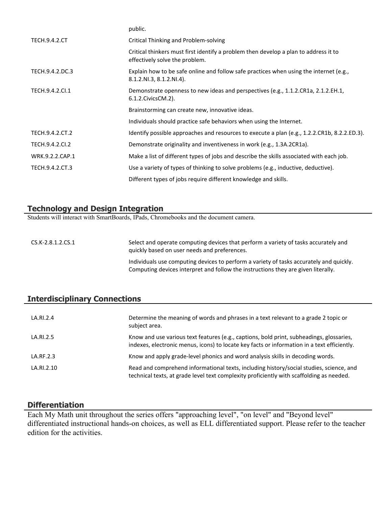|                      | public.                                                                                                                |
|----------------------|------------------------------------------------------------------------------------------------------------------------|
| <b>TECH.9.4.2.CT</b> | <b>Critical Thinking and Problem-solving</b>                                                                           |
|                      | Critical thinkers must first identify a problem then develop a plan to address it to<br>effectively solve the problem. |
| TECH.9.4.2.DC.3      | Explain how to be safe online and follow safe practices when using the internet (e.g.,<br>8.1.2.NI.3, 8.1.2.NI.4).     |
| TECH.9.4.2.Cl.1      | Demonstrate openness to new ideas and perspectives (e.g., 1.1.2.CR1a, 2.1.2.EH.1,<br>$6.1.2$ . Civics CM. $2$ ).       |
|                      | Brainstorming can create new, innovative ideas.                                                                        |
|                      | Individuals should practice safe behaviors when using the Internet.                                                    |
| TECH.9.4.2.CT.2      | Identify possible approaches and resources to execute a plan (e.g., 1.2.2.CR1b, 8.2.2.ED.3).                           |
| TECH.9.4.2.CI.2      | Demonstrate originality and inventiveness in work (e.g., 1.3A.2CR1a).                                                  |
| WRK.9.2.2.CAP.1      | Make a list of different types of jobs and describe the skills associated with each job.                               |
| TECH.9.4.2.CT.3      | Use a variety of types of thinking to solve problems (e.g., inductive, deductive).                                     |
|                      | Different types of jobs require different knowledge and skills.                                                        |

### **Technology and Design Integration**

Students will interact with SmartBoards, IPads, Chromebooks and the document camera.

CS.K-2.8.1.2.CS.1 Select and operate computing devices that perform a variety of tasks accurately and quickly based on user needs and preferences. Individuals use computing devices to perform a variety of tasks accurately and quickly. Computing devices interpret and follow the instructions they are given literally.

#### **Interdisciplinary Connections**

| LA.RI.2.4  | Determine the meaning of words and phrases in a text relevant to a grade 2 topic or<br>subject area.                                                                                    |
|------------|-----------------------------------------------------------------------------------------------------------------------------------------------------------------------------------------|
| LA.RI.2.5  | Know and use various text features (e.g., captions, bold print, subheadings, glossaries,<br>indexes, electronic menus, icons) to locate key facts or information in a text efficiently. |
| LA.RF.2.3  | Know and apply grade-level phonics and word analysis skills in decoding words.                                                                                                          |
| LA.RI.2.10 | Read and comprehend informational texts, including history/social studies, science, and<br>technical texts, at grade level text complexity proficiently with scaffolding as needed.     |

#### **Differentiation**

Each My Math unit throughout the series offers "approaching level", "on level" and "Beyond level" differentiated instructional hands-on choices, as well as ELL differentiated support. Please refer to the teacher edition for the activities.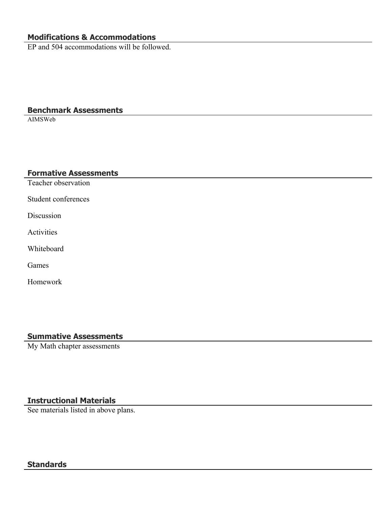# **Modifications & Accommodations**

EP and 504 accommodations will be followed.

#### **Benchmark Assessments**

AIMSWeb

#### **Formative Assessments**

Teacher observation

Student conferences

Discussion

Activities

Whiteboard

Games

Homework

#### **Summative Assessments**

My Math chapter assessments

## **Instructional Materials**

See materials listed in above plans.

#### **Standards**